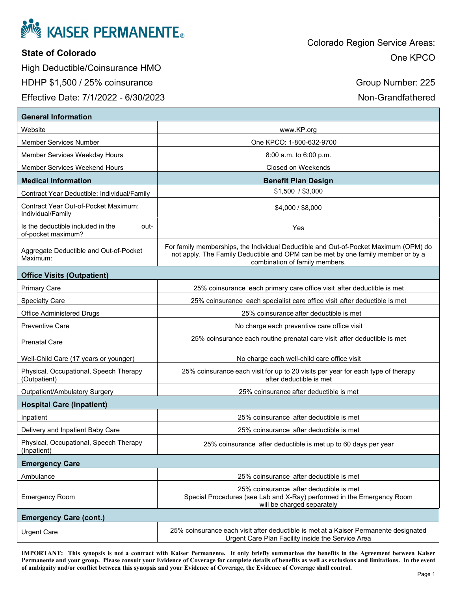

## **State of Colorado**

High Deductible/Coinsurance HMO HDHP \$1,500 / 25% coinsurance

Effective Date: 7/1/2022 - 6/30/2023

Group Number: 225

Non-Grandfathered

| <b>General Information</b>                                      |                                                                                                                                                                                                            |  |
|-----------------------------------------------------------------|------------------------------------------------------------------------------------------------------------------------------------------------------------------------------------------------------------|--|
| Website                                                         | www.KP.org                                                                                                                                                                                                 |  |
| Member Services Number                                          | One KPCO: 1-800-632-9700                                                                                                                                                                                   |  |
| <b>Member Services Weekday Hours</b>                            | $8:00$ a.m. to $6:00$ p.m.                                                                                                                                                                                 |  |
| Member Services Weekend Hours                                   | <b>Closed on Weekends</b>                                                                                                                                                                                  |  |
| <b>Medical Information</b>                                      | <b>Benefit Plan Design</b>                                                                                                                                                                                 |  |
| Contract Year Deductible: Individual/Family                     | \$1,500 / \$3,000                                                                                                                                                                                          |  |
| Contract Year Out-of-Pocket Maximum:<br>Individual/Family       | \$4,000 / \$8,000                                                                                                                                                                                          |  |
| Is the deductible included in the<br>out-<br>of-pocket maximum? | Yes                                                                                                                                                                                                        |  |
| Aggregate Deductible and Out-of-Pocket<br>Maximum:              | For family memberships, the Individual Deductible and Out-of-Pocket Maximum (OPM) do<br>not apply. The Family Deductible and OPM can be met by one family member or by a<br>combination of family members. |  |
| <b>Office Visits (Outpatient)</b>                               |                                                                                                                                                                                                            |  |
| <b>Primary Care</b>                                             | 25% coinsurance each primary care office visit after deductible is met                                                                                                                                     |  |
| <b>Specialty Care</b>                                           | 25% coinsurance each specialist care office visit after deductible is met                                                                                                                                  |  |
| <b>Office Administered Drugs</b>                                | 25% coinsurance after deductible is met                                                                                                                                                                    |  |
| <b>Preventive Care</b>                                          | No charge each preventive care office visit                                                                                                                                                                |  |
| <b>Prenatal Care</b>                                            | 25% coinsurance each routine prenatal care visit after deductible is met                                                                                                                                   |  |
| Well-Child Care (17 years or younger)                           | No charge each well-child care office visit                                                                                                                                                                |  |
| Physical, Occupational, Speech Therapy<br>(Outpatient)          | 25% coinsurance each visit for up to 20 visits per year for each type of therapy<br>after deductible is met                                                                                                |  |
| Outpatient/Ambulatory Surgery                                   | 25% coinsurance after deductible is met                                                                                                                                                                    |  |
| <b>Hospital Care (Inpatient)</b>                                |                                                                                                                                                                                                            |  |
| Inpatient                                                       | 25% coinsurance after deductible is met                                                                                                                                                                    |  |
| Delivery and Inpatient Baby Care                                | 25% coinsurance after deductible is met                                                                                                                                                                    |  |
| Physical, Occupational, Speech Therapy<br>(Inpatient)           | 25% coinsurance after deductible is met up to 60 days per year                                                                                                                                             |  |
| <b>Emergency Care</b>                                           |                                                                                                                                                                                                            |  |
| Ambulance                                                       | 25% coinsurance after deductible is met                                                                                                                                                                    |  |
| <b>Emergency Room</b>                                           | 25% coinsurance after deductible is met<br>Special Procedures (see Lab and X-Ray) performed in the Emergency Room<br>will be charged separately                                                            |  |
| <b>Emergency Care (cont.)</b>                                   |                                                                                                                                                                                                            |  |
| <b>Urgent Care</b>                                              | 25% coinsurance each visit after deductible is met at a Kaiser Permanente designated<br>Urgent Care Plan Facility inside the Service Area                                                                  |  |

**IMPORTANT: This synopsis is not a contract with Kaiser Permanente. It only briefly summarizes the benefits in the Agreement between Kaiser Permanente and your group. Please consult your Evidence of Coverage for complete details of benefits as well as exclusions and limitations. In the event of ambiguity and/or conflict between this synopsis and your Evidence of Coverage, the Evidence of Coverage shall control.**